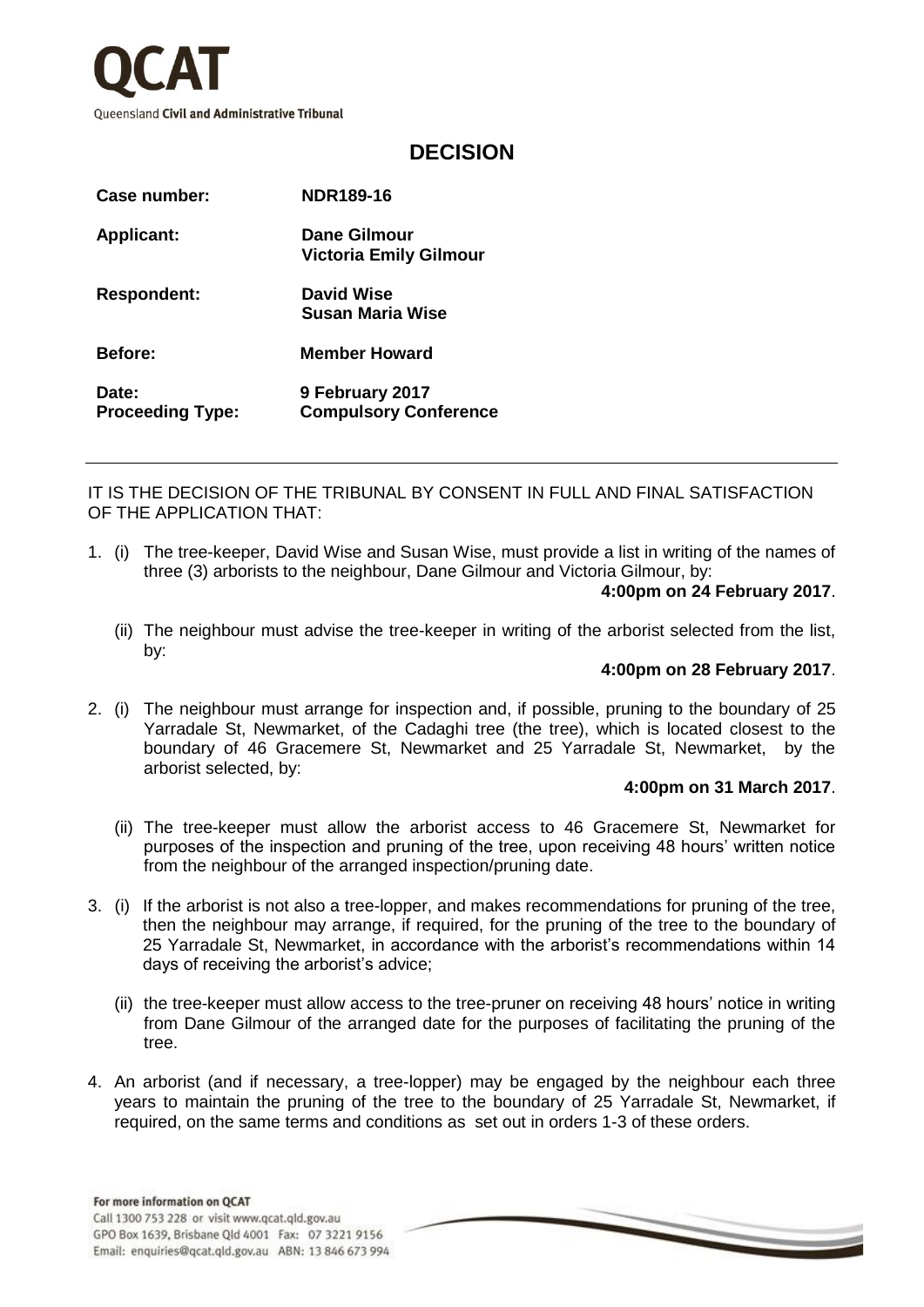

## **DECISION**

| Case number:                     | <b>NDR189-16</b>                                |
|----------------------------------|-------------------------------------------------|
| <b>Applicant:</b>                | Dane Gilmour<br><b>Victoria Emily Gilmour</b>   |
| <b>Respondent:</b>               | David Wise<br>Susan Maria Wise                  |
| <b>Before:</b>                   | <b>Member Howard</b>                            |
| Date:<br><b>Proceeding Type:</b> | 9 February 2017<br><b>Compulsory Conference</b> |

IT IS THE DECISION OF THE TRIBUNAL BY CONSENT IN FULL AND FINAL SATISFACTION OF THE APPLICATION THAT:

1. (i) The tree-keeper, David Wise and Susan Wise, must provide a list in writing of the names of three (3) arborists to the neighbour, Dane Gilmour and Victoria Gilmour, by:

## **4:00pm on 24 February 2017**.

(ii) The neighbour must advise the tree-keeper in writing of the arborist selected from the list, by:

## **4:00pm on 28 February 2017**.

2. (i) The neighbour must arrange for inspection and, if possible, pruning to the boundary of 25 Yarradale St, Newmarket, of the Cadaghi tree (the tree), which is located closest to the boundary of 46 Gracemere St, Newmarket and 25 Yarradale St, Newmarket, by the arborist selected, by:

## **4:00pm on 31 March 2017**.

- (ii) The tree-keeper must allow the arborist access to 46 Gracemere St, Newmarket for purposes of the inspection and pruning of the tree, upon receiving 48 hours' written notice from the neighbour of the arranged inspection/pruning date.
- 3. (i) If the arborist is not also a tree-lopper, and makes recommendations for pruning of the tree, then the neighbour may arrange, if required, for the pruning of the tree to the boundary of 25 Yarradale St, Newmarket, in accordance with the arborist's recommendations within 14 days of receiving the arborist's advice;
	- (ii) the tree-keeper must allow access to the tree-pruner on receiving 48 hours' notice in writing from Dane Gilmour of the arranged date for the purposes of facilitating the pruning of the tree.
- 4. An arborist (and if necessary, a tree-lopper) may be engaged by the neighbour each three years to maintain the pruning of the tree to the boundary of 25 Yarradale St, Newmarket, if required, on the same terms and conditions as set out in orders 1-3 of these orders.